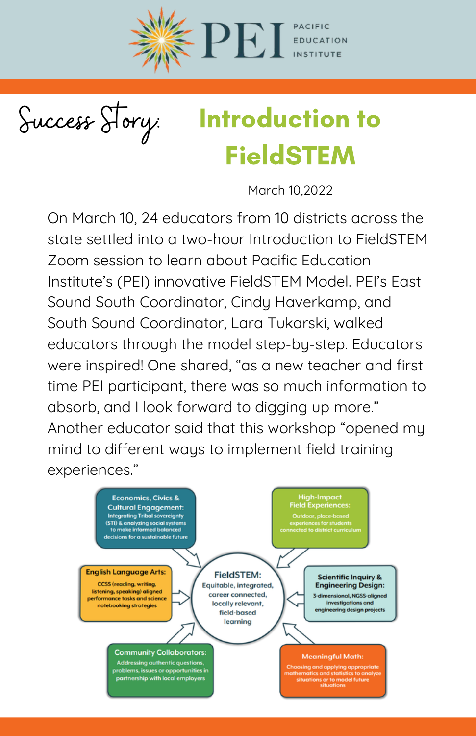

Success Story:

## Introduction to FieldSTEM

March 10,2022

On March 10, 24 educators from 10 districts across the state settled into a two-hour Introduction to FieldSTEM Zoom session to learn about Pacific Education Institute's (PEI) innovative [FieldSTEM](https://pacificeducationinstitute.org/work/fieldstem/#videos) Model. PEI's East Sound South Coordinator, Cindy Haverkamp, and South Sound Coordinator, Lara Tukarski, walked educators through the model step-by-step. Educators were inspired! One shared, "as a new teacher and first time PEI participant, there was so much information to absorb, and I look forward to digging up more." Another educator said that this workshop "opened my mind to different ways to implement field training experiences."